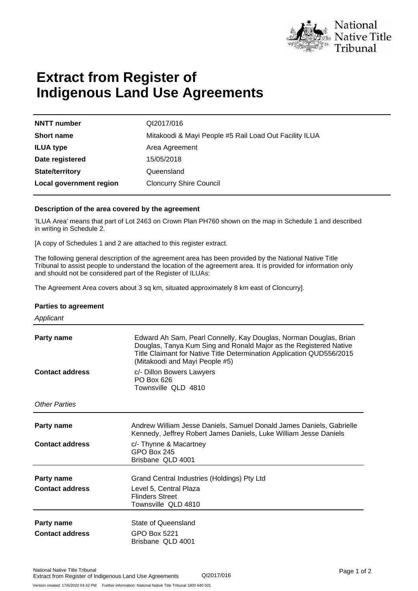

# **Extract from Register of Indigenous Land Use Agreements**

| <b>NNTT</b> number      |  |
|-------------------------|--|
| <b>Short name</b>       |  |
| <b>ILUA type</b>        |  |
| Date registered         |  |
| <b>State/territory</b>  |  |
| Local government region |  |

**NNTT number** QI2017/016 **Short name** Mitakoodi & Mayi People #5 Rail Load Out Facility ILUA **Area Agreement Date registered** 15/05/2018 **State/territory** Queensland **Cloncurry Shire Council** 

### **Description of the area covered by the agreement**

'ILUA Area' means that part of Lot 2463 on Crown Plan PH760 shown on the map in Schedule 1 and described in writing in Schedule 2.

[A copy of Schedules 1 and 2 are attached to this register extract.

The following general description of the agreement area has been provided by the National Native Title Tribunal to assist people to understand the location of the agreement area. It is provided for information only and should not be considered part of the Register of ILUAs:

The Agreement Area covers about 3 sq km, situated approximately 8 km east of Cloncurry].

### **Parties to agreement**

| Applicant                            |                                                                                                                                                                                                                                                   |
|--------------------------------------|---------------------------------------------------------------------------------------------------------------------------------------------------------------------------------------------------------------------------------------------------|
| Party name                           | Edward Ah Sam, Pearl Connelly, Kay Douglas, Norman Douglas, Brian<br>Douglas, Tanya Kum Sing and Ronald Major as the Registered Native<br>Title Claimant for Native Title Determination Application QUD556/2015<br>(Mitakoodi and Mayi People #5) |
| <b>Contact address</b>               | c/- Dillon Bowers Lawyers<br>PO Box 626<br>Townsville QLD 4810                                                                                                                                                                                    |
| Other Parties                        |                                                                                                                                                                                                                                                   |
| Party name                           | Andrew William Jesse Daniels, Samuel Donald James Daniels, Gabrielle<br>Kennedy, Jeffrey Robert James Daniels, Luke William Jesse Daniels                                                                                                         |
| <b>Contact address</b>               | c/- Thynne & Macartney<br><b>GPO Box 245</b><br>Brisbane QLD 4001                                                                                                                                                                                 |
| Party name<br><b>Contact address</b> | Grand Central Industries (Holdings) Pty Ltd<br>Level 5, Central Plaza<br><b>Flinders Street</b><br>Townsville QLD 4810                                                                                                                            |
| Party name<br><b>Contact address</b> | State of Queensland<br>GPO Box 5221<br>Brisbane OLD 4001                                                                                                                                                                                          |